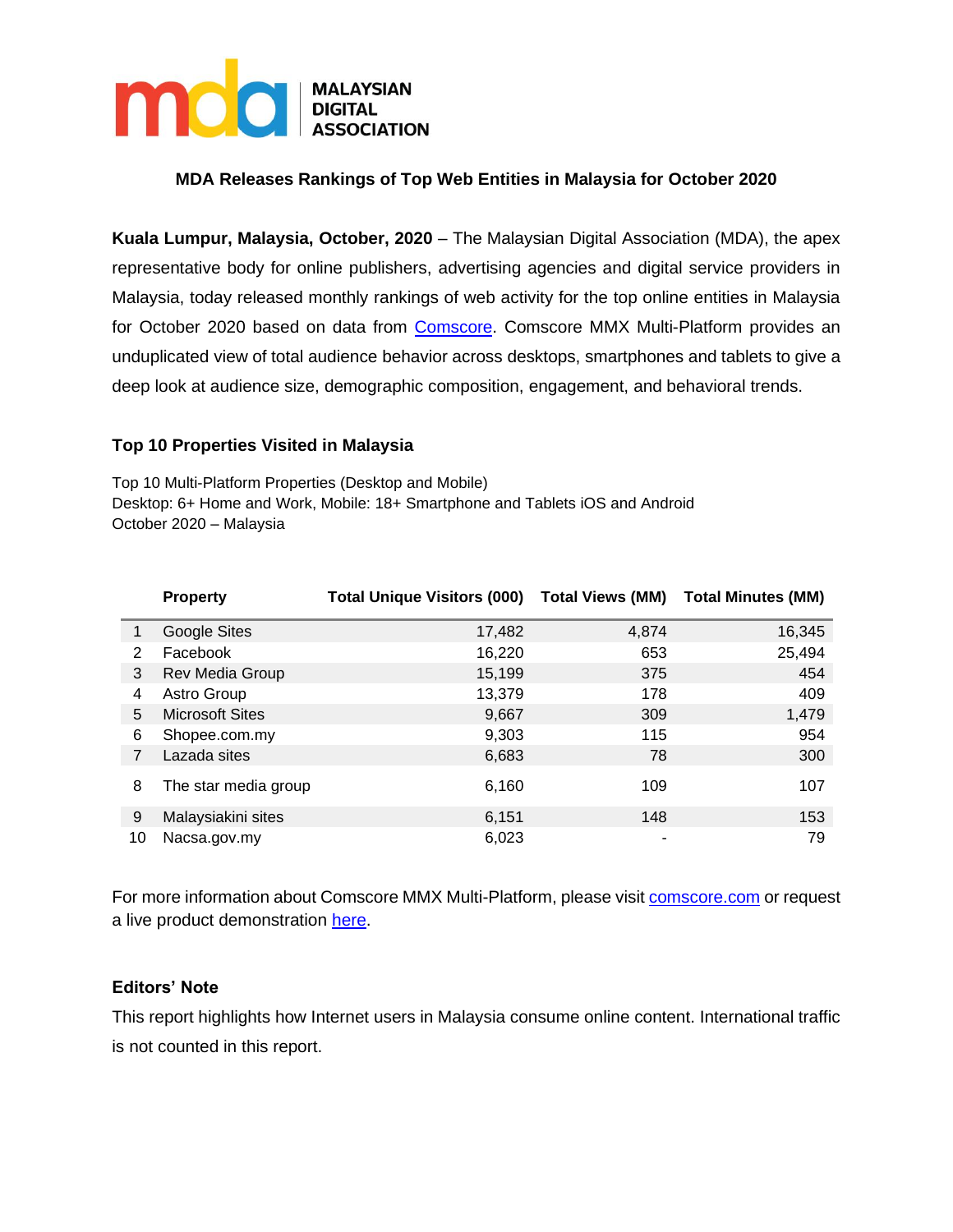

# **MDA Releases Rankings of Top Web Entities in Malaysia for October 2020**

**Kuala Lumpur, Malaysia, October, 2020** – The Malaysian Digital Association (MDA), the apex representative body for online publishers, advertising agencies and digital service providers in Malaysia, today released monthly rankings of web activity for the top online entities in Malaysia for October 2020 based on data from [Comscore.](https://www.comscore.com/Products/Ratings-and-Planning) Comscore MMX Multi-Platform provides an unduplicated view of total audience behavior across desktops, smartphones and tablets to give a deep look at audience size, demographic composition, engagement, and behavioral trends.

## **Top 10 Properties Visited in Malaysia**

Top 10 Multi-Platform Properties (Desktop and Mobile) Desktop: 6+ Home and Work, Mobile: 18+ Smartphone and Tablets iOS and Android October 2020 – Malaysia

|    | <b>Property</b>        | <b>Total Unique Visitors (000)</b> | <b>Total Views (MM)</b> | <b>Total Minutes (MM)</b> |
|----|------------------------|------------------------------------|-------------------------|---------------------------|
|    | Google Sites           | 17,482                             | 4,874                   | 16,345                    |
| 2  | Facebook               | 16,220                             | 653                     | 25,494                    |
| 3  | Rev Media Group        | 15,199                             | 375                     | 454                       |
| 4  | Astro Group            | 13,379                             | 178                     | 409                       |
| 5  | <b>Microsoft Sites</b> | 9,667                              | 309                     | 1,479                     |
| 6  | Shopee.com.my          | 9,303                              | 115                     | 954                       |
| 7  | Lazada sites           | 6,683                              | 78                      | 300                       |
| 8  | The star media group   | 6,160                              | 109                     | 107                       |
| 9  | Malaysiakini sites     | 6,151                              | 148                     | 153                       |
| 10 | Nacsa.gov.my           | 6,023                              | ۰                       | 79                        |

For more information about Comscore MMX Multi-Platform, please visit [comscore.com](https://www.comscore.com/Products/Ratings-and-Planning/Media-Ratings) or request a live product demonstration [here.](http://www.comscore.com/layout/set/popup/Request/Demos/comScore-Media-Metrix-Suite-Demo-Request)

## **Editors' Note**

This report highlights how Internet users in Malaysia consume online content. International traffic is not counted in this report.